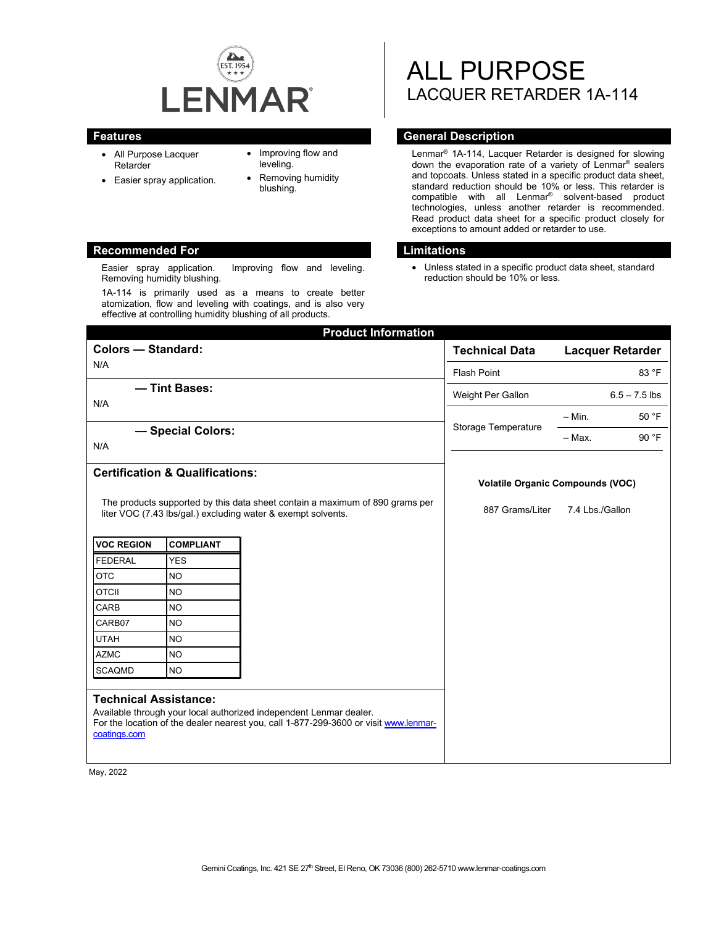

- All Purpose Lacquer Retarder
- Easier spray application.
- Improving flow and leveling.
- Removing humidity blushing.

#### **Recommended For Limitations**

Easier spray application. Improving flow and leveling. Removing humidity blushing.

1A-114 is primarily used as a means to create better atomization, flow and leveling with coatings, and is also very effective at controlling humidity blushing of all products.

# ALL PURPOSE LACQUER RETARDER 1A-114

# **Features General Description**

Lenmar® 1A-114, Lacquer Retarder is designed for slowing down the evaporation rate of a variety of Lenmar® sealers and topcoats. Unless stated in a specific product data sheet, standard reduction should be 10% or less. This retarder is compatible with all Lenmar® solvent-based product technologies, unless another retarder is recommended. Read product data sheet for a specific product closely for exceptions to amount added or retarder to use.

• Unless stated in a specific product data sheet, standard reduction should be 10% or less.

| <b>Product Information</b>                                                                                                                                                                                 |                                            |  |                                         |                         |
|------------------------------------------------------------------------------------------------------------------------------------------------------------------------------------------------------------|--------------------------------------------|--|-----------------------------------------|-------------------------|
| <b>Colors - Standard:</b>                                                                                                                                                                                  |                                            |  | <b>Technical Data</b>                   | <b>Lacquer Retarder</b> |
| N/A                                                                                                                                                                                                        |                                            |  | <b>Flash Point</b>                      | 83 °F                   |
| - Tint Bases:<br>N/A                                                                                                                                                                                       |                                            |  | Weight Per Gallon                       | $6.5 - 7.5$ lbs         |
|                                                                                                                                                                                                            |                                            |  | Storage Temperature                     | 50 °F<br>$-$ Min.       |
| - Special Colors:                                                                                                                                                                                          |                                            |  |                                         | $-$ Max.<br>90 °F       |
| N/A                                                                                                                                                                                                        |                                            |  |                                         |                         |
|                                                                                                                                                                                                            | <b>Certification &amp; Qualifications:</b> |  | <b>Volatile Organic Compounds (VOC)</b> |                         |
| The products supported by this data sheet contain a maximum of 890 grams per<br>liter VOC (7.43 lbs/gal.) excluding water & exempt solvents.                                                               |                                            |  | 887 Grams/Liter                         | 7.4 Lbs./Gallon         |
| <b>VOC REGION</b>                                                                                                                                                                                          | <b>COMPLIANT</b>                           |  |                                         |                         |
| <b>FEDERAL</b>                                                                                                                                                                                             | <b>YES</b>                                 |  |                                         |                         |
| <b>OTC</b>                                                                                                                                                                                                 | <b>NO</b>                                  |  |                                         |                         |
| <b>OTCII</b>                                                                                                                                                                                               | <b>NO</b>                                  |  |                                         |                         |
| CARB                                                                                                                                                                                                       | <b>NO</b>                                  |  |                                         |                         |
| CARB07                                                                                                                                                                                                     | <b>NO</b>                                  |  |                                         |                         |
| <b>UTAH</b>                                                                                                                                                                                                | <b>NO</b>                                  |  |                                         |                         |
| <b>AZMC</b>                                                                                                                                                                                                | <b>NO</b>                                  |  |                                         |                         |
| <b>SCAQMD</b>                                                                                                                                                                                              | <b>NO</b>                                  |  |                                         |                         |
| <b>Technical Assistance:</b><br>Available through your local authorized independent Lenmar dealer.<br>For the location of the dealer nearest you, call 1-877-299-3600 or visit www.lenmar-<br>coatings.com |                                            |  |                                         |                         |

May, 2022